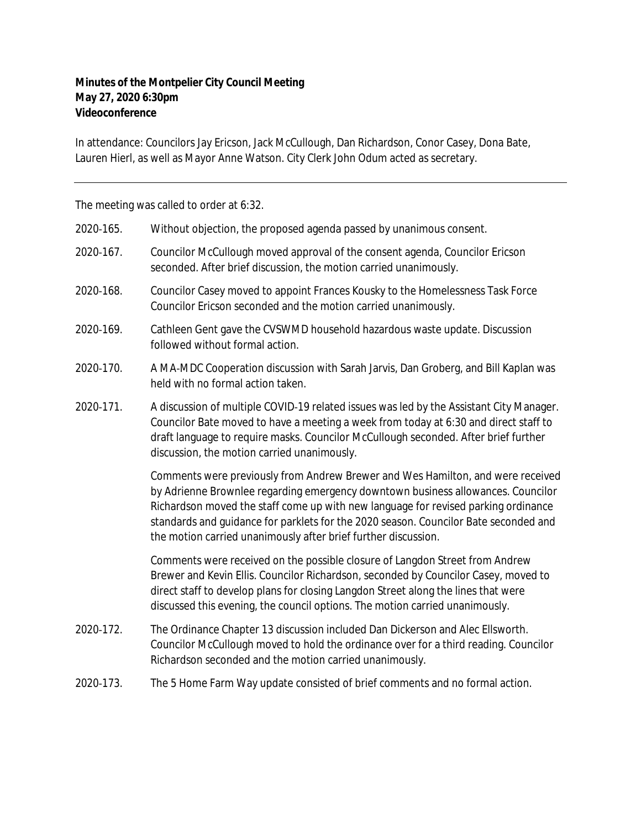## **Minutes of the Montpelier City Council Meeting May 27, 2020 6:30pm Videoconference**

In attendance: Councilors Jay Ericson, Jack McCullough, Dan Richardson, Conor Casey, Dona Bate, Lauren Hierl, as well as Mayor Anne Watson. City Clerk John Odum acted as secretary.

The meeting was called to order at 6:32.

| 2020-165. | Without objection, the proposed agenda passed by unanimous consent.                                                                                                                                                                                                                                                                                                                                                 |
|-----------|---------------------------------------------------------------------------------------------------------------------------------------------------------------------------------------------------------------------------------------------------------------------------------------------------------------------------------------------------------------------------------------------------------------------|
| 2020-167. | Councilor McCullough moved approval of the consent agenda, Councilor Ericson<br>seconded. After brief discussion, the motion carried unanimously.                                                                                                                                                                                                                                                                   |
| 2020-168. | Councilor Casey moved to appoint Frances Kousky to the Homelessness Task Force<br>Councilor Ericson seconded and the motion carried unanimously.                                                                                                                                                                                                                                                                    |
| 2020-169. | Cathleen Gent gave the CVSWMD household hazardous waste update. Discussion<br>followed without formal action.                                                                                                                                                                                                                                                                                                       |
| 2020-170. | A MA-MDC Cooperation discussion with Sarah Jarvis, Dan Groberg, and Bill Kaplan was<br>held with no formal action taken.                                                                                                                                                                                                                                                                                            |
| 2020-171. | A discussion of multiple COVID-19 related issues was led by the Assistant City Manager.<br>Councilor Bate moved to have a meeting a week from today at 6:30 and direct staff to<br>draft language to require masks. Councilor McCullough seconded. After brief further<br>discussion, the motion carried unanimously.                                                                                               |
|           | Comments were previously from Andrew Brewer and Wes Hamilton, and were received<br>by Adrienne Brownlee regarding emergency downtown business allowances. Councilor<br>Richardson moved the staff come up with new language for revised parking ordinance<br>standards and guidance for parklets for the 2020 season. Councilor Bate seconded and<br>the motion carried unanimously after brief further discussion. |
|           | Comments were received on the possible closure of Langdon Street from Andrew<br>Brewer and Kevin Ellis. Councilor Richardson, seconded by Councilor Casey, moved to<br>direct staff to develop plans for closing Langdon Street along the lines that were<br>discussed this evening, the council options. The motion carried unanimously.                                                                           |
| 2020-172. | The Ordinance Chapter 13 discussion included Dan Dickerson and Alec Ellsworth.<br>Councilor McCullough moved to hold the ordinance over for a third reading. Councilor<br>Richardson seconded and the motion carried unanimously.                                                                                                                                                                                   |
| 2020-173. | The 5 Home Farm Way update consisted of brief comments and no formal action.                                                                                                                                                                                                                                                                                                                                        |
|           |                                                                                                                                                                                                                                                                                                                                                                                                                     |